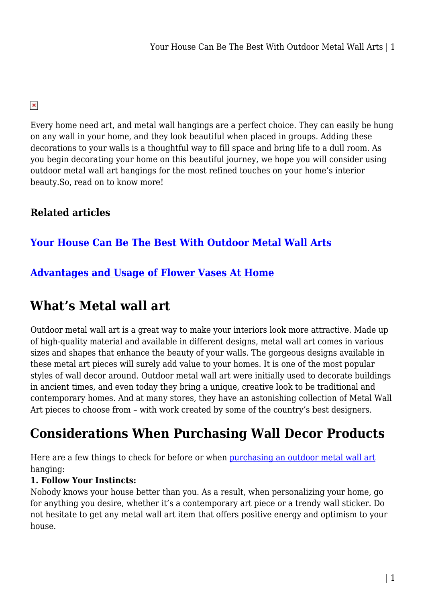### $\pmb{\times}$

Every home need art, and metal wall hangings are a perfect choice. They can easily be hung on any wall in your home, and they look beautiful when placed in groups. Adding these decorations to your walls is a thoughtful way to fill space and bring life to a dull room. As you begin decorating your home on this beautiful journey, we hope you will consider using outdoor metal wall art hangings for the most refined touches on your home's interior beauty.So, read on to know more!

# **Related articles**

# **[Your House Can Be The Best With Outdoor Metal Wall Arts](https://sydneyfishfinder.com.au/your-house-can-be-the-best-with-outdoor-metal-wall-arts/)**

## **[Advantages and Usage of Flower Vases At Home](https://sydneyfishfinder.com.au/advantages-and-usage-of-flower-vases-at-home/)**

# **What's Metal wall art**

Outdoor metal wall art is a great way to make your interiors look more attractive. Made up of high-quality material and available in different designs, metal wall art comes in various sizes and shapes that enhance the beauty of your walls. The gorgeous designs available in these metal art pieces will surely add value to your homes. It is one of the most popular styles of wall decor around. Outdoor metal wall art were initially used to decorate buildings in ancient times, and even today they bring a unique, creative look to be traditional and contemporary homes. And at many stores, they have an astonishing collection of Metal Wall Art pieces to choose from – with work created by some of the country's best designers.

# **Considerations When Purchasing Wall Decor Products**

Here are a few things to check for before or when [purchasing an outdoor metal wall art](https://oldndazed.com.au/collections/wall-art) hanging:

#### **1. Follow Your Instincts:**

Nobody knows your house better than you. As a result, when personalizing your home, go for anything you desire, whether it's a contemporary art piece or a trendy wall sticker. Do not hesitate to get any metal wall art item that offers positive energy and optimism to your house.